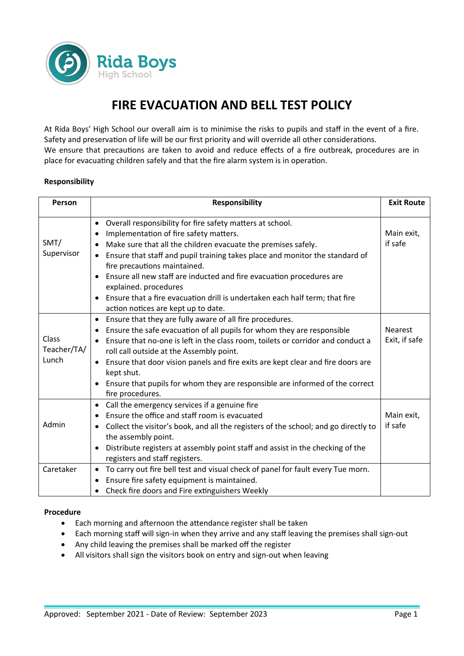

# **FIRE EVACUATION AND BELL TEST POLICY**

At Rida Boys' High School our overall aim is to minimise the risks to pupils and staff in the event of a fire. Safety and preservation of life will be our first priority and will override all other considerations. We ensure that precautions are taken to avoid and reduce effects of a fire outbreak, procedures are in place for evacuating children safely and that the fire alarm system is in operation.

#### **Responsibility**

| Person      | <b>Responsibility</b>                                                                            | <b>Exit Route</b> |
|-------------|--------------------------------------------------------------------------------------------------|-------------------|
|             | Overall responsibility for fire safety matters at school.<br>$\bullet$                           |                   |
|             | Implementation of fire safety matters.<br>٠                                                      | Main exit,        |
| SMT/        | Make sure that all the children evacuate the premises safely.                                    | if safe           |
| Supervisor  | Ensure that staff and pupil training takes place and monitor the standard of                     |                   |
|             | fire precautions maintained.                                                                     |                   |
|             | Ensure all new staff are inducted and fire evacuation procedures are                             |                   |
|             | explained. procedures                                                                            |                   |
|             | Ensure that a fire evacuation drill is undertaken each half term; that fire<br>$\bullet$         |                   |
|             | action notices are kept up to date.                                                              |                   |
|             | Ensure that they are fully aware of all fire procedures.<br>$\bullet$                            |                   |
|             | Ensure the safe evacuation of all pupils for whom they are responsible<br>$\bullet$              | <b>Nearest</b>    |
| Class       | Ensure that no-one is left in the class room, toilets or corridor and conduct a                  | Exit, if safe     |
| Teacher/TA/ | roll call outside at the Assembly point.                                                         |                   |
| Lunch       | Ensure that door vision panels and fire exits are kept clear and fire doors are<br>$\bullet$     |                   |
|             | kept shut.                                                                                       |                   |
|             | Ensure that pupils for whom they are responsible are informed of the correct                     |                   |
|             | fire procedures.                                                                                 |                   |
|             | Call the emergency services if a genuine fire<br>$\bullet$                                       |                   |
|             | Ensure the office and staff room is evacuated                                                    | Main exit,        |
| Admin       | Collect the visitor's book, and all the registers of the school; and go directly to<br>$\bullet$ | if safe           |
|             | the assembly point.                                                                              |                   |
|             | Distribute registers at assembly point staff and assist in the checking of the                   |                   |
|             | registers and staff registers.                                                                   |                   |
| Caretaker   | To carry out fire bell test and visual check of panel for fault every Tue morn.<br>$\bullet$     |                   |
|             | Ensure fire safety equipment is maintained.<br>٠                                                 |                   |
|             | Check fire doors and Fire extinguishers Weekly<br>٠                                              |                   |

#### **Procedure**

- Each morning and afternoon the attendance register shall be taken
- Each morning staff will sign-in when they arrive and any staff leaving the premises shall sign-out
- Any child leaving the premises shall be marked off the register
- All visitors shall sign the visitors book on entry and sign-out when leaving